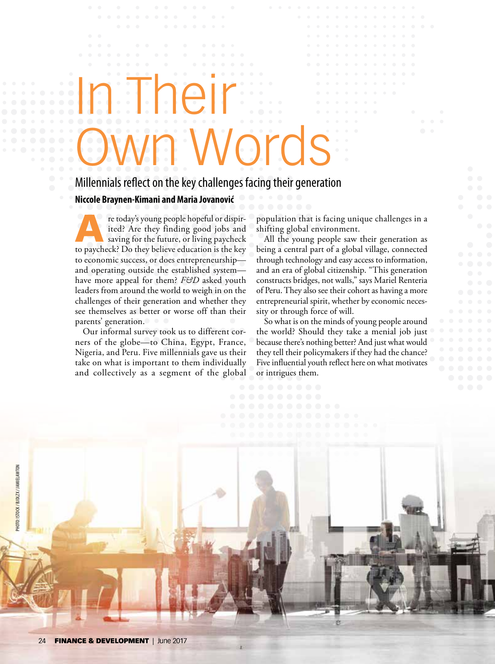## In Their Vords

## Millennials reflect on the key challenges facing their generation

**Niccole Braynen-Kimani and Maria Jovanović**

re today's young people hopeful or dispir-<br>ited? Are they finding good jobs and<br>saving for the future, or living paycheck<br>to paycheck? De that heliaus education is the knu ited? Are they finding good jobs and saving for the future, or living paycheck to paycheck? Do they believe education is the key to economic success, or does entrepreneurship and operating outside the established system have more appeal for them? *F&D* asked youth leaders from around the world to weigh in on the challenges of their generation and whether they see themselves as better or worse off than their parents' generation.

Our informal survey took us to different corners of the globe—to China, Egypt, France, Nigeria, and Peru. Five millennials gave us their take on what is important to them individually and collectively as a segment of the global

population that is facing unique challenges in a shifting global environment.

All the young people saw their generation as being a central part of a global village, connected through technology and easy access to information, and an era of global citizenship. "This generation constructs bridges, not walls," says Mariel Renteria of Peru. They also see their cohort as having a more entrepreneurial spirit, whether by economic necessity or through force of will.

So what is on the minds of young people around the world? Should they take a menial job just because there's nothing better? And just what would they tell their policymakers if they had the chance? Five influential youth reflect here on what motivates or intrigues them.

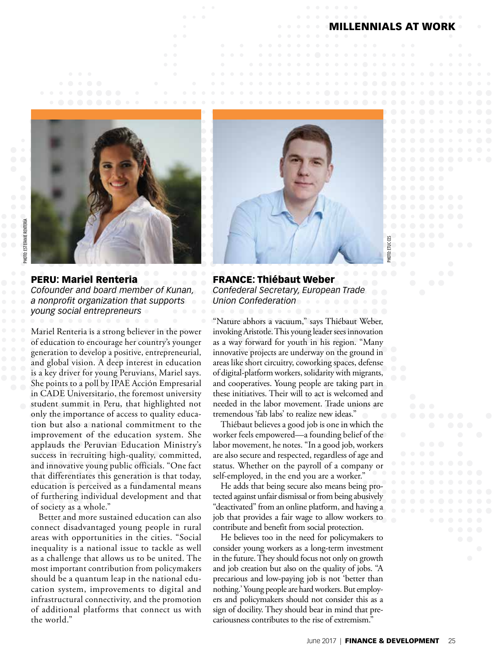ENNIALS AT WORK

PHOTO: ETUC CES

 $\Xi$ Enc



PERU: Mariel Renteria *Cofounder and board member of Kunan, a nonprofit organization that supports young social entrepreneurs* 

Mariel Renteria is a strong believer in the power of education to encourage her country's younger generation to develop a positive, entrepreneurial, and global vision. A deep interest in education is a key driver for young Peruvians, Mariel says. She points to a poll by IPAE AcciÓn Empresarial in CADE Universitario, the foremost university student summit in Peru, that highlighted not only the importance of access to quality education but also a national commitment to the improvement of the education system. She applauds the Peruvian Education Ministry's success in recruiting high-quality, committed, and innovative young public officials. "One fact that differentiates this generation is that today, education is perceived as a fundamental means of furthering individual development and that of society as a whole."

Better and more sustained education can also connect disadvantaged young people in rural areas with opportunities in the cities. "Social inequality is a national issue to tackle as well as a challenge that allows us to be united. The most important contribution from policymakers should be a quantum leap in the national education system, improvements to digital and infrastructural connectivity, and the promotion of additional platforms that connect us with the world."



FRANCE: Thiébaut Weber *Confederal Secretary, European Trade Union Confederation*

"Nature abhors a vacuum," says Thiébaut Weber, invoking Aristotle. This young leader sees innovation as a way forward for youth in his region. "Many innovative projects are underway on the ground in areas like short circuitry, coworking spaces, defense of digital-platform workers, solidarity with migrants, and cooperatives. Young people are taking part in these initiatives. Their will to act is welcomed and needed in the labor movement. Trade unions are tremendous 'fab labs' to realize new ideas."

Thiébaut believes a good job is one in which the worker feels empowered—a founding belief of the labor movement, he notes. "In a good job, workers are also secure and respected, regardless of age and status. Whether on the payroll of a company or self-employed, in the end you are a worker."

He adds that being secure also means being protected against unfair dismissal or from being abusively "deactivated" from an online platform, and having a job that provides a fair wage to allow workers to contribute and benefit from social protection.

He believes too in the need for policymakers to consider young workers as a long-term investment in the future. They should focus not only on growth and job creation but also on the quality of jobs. "A precarious and low-paying job is not 'better than nothing.' Young people are hard workers. But employers and policymakers should not consider this as a sign of docility. They should bear in mind that precariousness contributes to the rise of extremism.'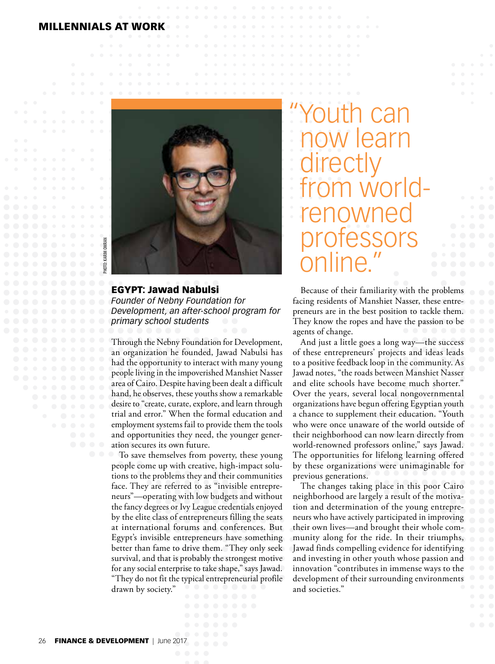## MILLENNIALS AT WORK



EGYPT: Jawad Nabulsi *Founder of Nebny Foundation for Development, an after-school program for primary school students*

Through the Nebny Foundation for Development, an organization he founded, Jawad Nabulsi has had the opportunity to interact with many young people living in the impoverished Manshiet Nasser area of Cairo. Despite having been dealt a difficult hand, he observes, these youths show a remarkable desire to "create, curate, explore, and learn through trial and error." When the formal education and employment systems fail to provide them the tools and opportunities they need, the younger generation secures its own future.

To save themselves from poverty, these young people come up with creative, high-impact solutions to the problems they and their communities face. They are referred to as "invisible entrepreneurs"—operating with low budgets and without the fancy degrees or Ivy League credentials enjoyed by the elite class of entrepreneurs filling the seats at international forums and conferences. But Egypt's invisible entrepreneurs have something better than fame to drive them. "They only seek survival, and that is probably the strongest motive for any social enterprise to take shape," says Jawad. "They do not fit the typical entrepreneurial profile drawn by society."

"can now learn<br>directly from worldrenowned professors anline

Because of their familiarity with the problems facing residents of Manshiet Nasser, these entrepreneurs are in the best position to tackle them. They know the ropes and have the passion to be agents of change.

And just a little goes a long way—the success of these entrepreneurs' projects and ideas leads to a positive feedback loop in the community. As Jawad notes, "the roads between Manshiet Nasser and elite schools have become much shorter." Over the years, several local nongovernmental organizations have begun offering Egyptian youth a chance to supplement their education. "Youth who were once unaware of the world outside of their neighborhood can now learn directly from world-renowned professors online," says Jawad. The opportunities for lifelong learning offered by these organizations were unimaginable for previous generations.

The changes taking place in this poor Cairo neighborhood are largely a result of the motivation and determination of the young entrepreneurs who have actively participated in improving their own lives—and brought their whole community along for the ride. In their triumphs, Jawad finds compelling evidence for identifying and investing in other youth whose passion and innovation "contributes in immense ways to the development of their surrounding environments and societies."